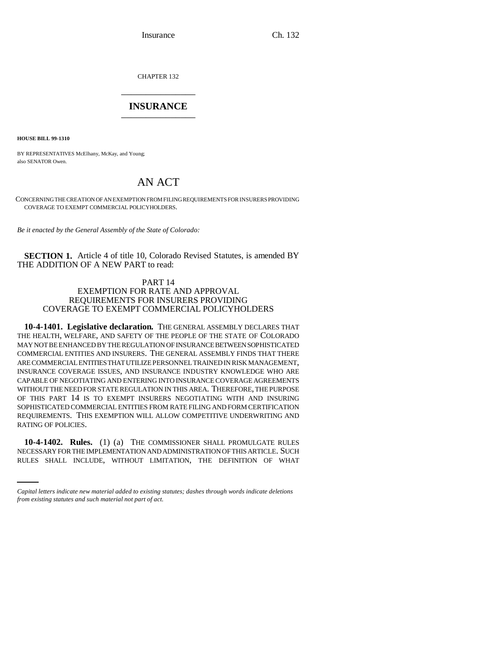Insurance Ch. 132

CHAPTER 132 \_\_\_\_\_\_\_\_\_\_\_\_\_\_\_

## **INSURANCE** \_\_\_\_\_\_\_\_\_\_\_\_\_\_\_

**HOUSE BILL 99-1310** 

BY REPRESENTATIVES McElhany, McKay, and Young; also SENATOR Owen.

# AN ACT

CONCERNING THE CREATION OF AN EXEMPTION FROM FILING REQUIREMENTS FOR INSURERS PROVIDING COVERAGE TO EXEMPT COMMERCIAL POLICYHOLDERS.

*Be it enacted by the General Assembly of the State of Colorado:*

**SECTION 1.** Article 4 of title 10, Colorado Revised Statutes, is amended BY THE ADDITION OF A NEW PART to read:

### PART 14 EXEMPTION FOR RATE AND APPROVAL REQUIREMENTS FOR INSURERS PROVIDING COVERAGE TO EXEMPT COMMERCIAL POLICYHOLDERS

**10-4-1401. Legislative declaration.** THE GENERAL ASSEMBLY DECLARES THAT THE HEALTH, WELFARE, AND SAFETY OF THE PEOPLE OF THE STATE OF COLORADO MAY NOT BE ENHANCED BY THE REGULATION OF INSURANCE BETWEEN SOPHISTICATED COMMERCIAL ENTITIES AND INSURERS. THE GENERAL ASSEMBLY FINDS THAT THERE ARE COMMERCIAL ENTITIES THAT UTILIZE PERSONNEL TRAINED IN RISK MANAGEMENT, INSURANCE COVERAGE ISSUES, AND INSURANCE INDUSTRY KNOWLEDGE WHO ARE CAPABLE OF NEGOTIATING AND ENTERING INTO INSURANCE COVERAGE AGREEMENTS WITHOUT THE NEED FOR STATE REGULATION IN THIS AREA. THEREFORE, THE PURPOSE OF THIS PART 14 IS TO EXEMPT INSURERS NEGOTIATING WITH AND INSURING SOPHISTICATED COMMERCIAL ENTITIES FROM RATE FILING AND FORM CERTIFICATION REQUIREMENTS. THIS EXEMPTION WILL ALLOW COMPETITIVE UNDERWRITING AND RATING OF POLICIES.

 **10-4-1402. Rules.** (1) (a) THE COMMISSIONER SHALL PROMULGATE RULES NECESSARY FOR THE IMPLEMENTATION AND ADMINISTRATION OF THIS ARTICLE. SUCH RULES SHALL INCLUDE, WITHOUT LIMITATION, THE DEFINITION OF WHAT

*Capital letters indicate new material added to existing statutes; dashes through words indicate deletions from existing statutes and such material not part of act.*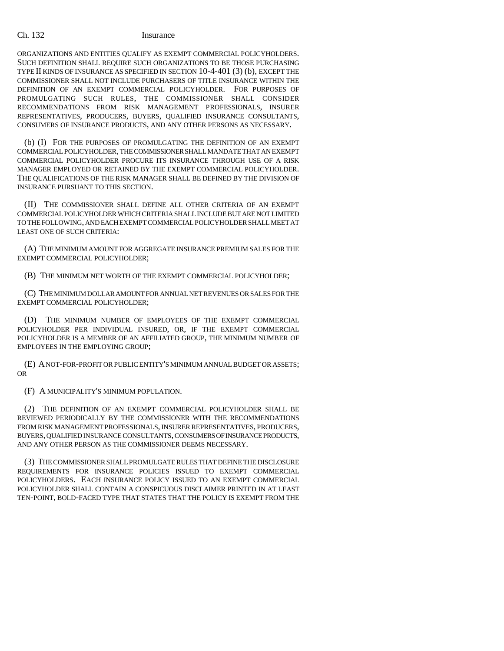#### Ch. 132 Insurance

ORGANIZATIONS AND ENTITIES QUALIFY AS EXEMPT COMMERCIAL POLICYHOLDERS. SUCH DEFINITION SHALL REQUIRE SUCH ORGANIZATIONS TO BE THOSE PURCHASING TYPE II KINDS OF INSURANCE AS SPECIFIED IN SECTION 10-4-401 (3) (b), EXCEPT THE COMMISSIONER SHALL NOT INCLUDE PURCHASERS OF TITLE INSURANCE WITHIN THE DEFINITION OF AN EXEMPT COMMERCIAL POLICYHOLDER. FOR PURPOSES OF PROMULGATING SUCH RULES, THE COMMISSIONER SHALL CONSIDER RECOMMENDATIONS FROM RISK MANAGEMENT PROFESSIONALS, INSURER REPRESENTATIVES, PRODUCERS, BUYERS, QUALIFIED INSURANCE CONSULTANTS, CONSUMERS OF INSURANCE PRODUCTS, AND ANY OTHER PERSONS AS NECESSARY.

(b) (I) FOR THE PURPOSES OF PROMULGATING THE DEFINITION OF AN EXEMPT COMMERCIAL POLICYHOLDER, THE COMMISSIONER SHALL MANDATE THAT AN EXEMPT COMMERCIAL POLICYHOLDER PROCURE ITS INSURANCE THROUGH USE OF A RISK MANAGER EMPLOYED OR RETAINED BY THE EXEMPT COMMERCIAL POLICYHOLDER. THE QUALIFICATIONS OF THE RISK MANAGER SHALL BE DEFINED BY THE DIVISION OF INSURANCE PURSUANT TO THIS SECTION.

(II) THE COMMISSIONER SHALL DEFINE ALL OTHER CRITERIA OF AN EXEMPT COMMERCIAL POLICYHOLDER WHICH CRITERIA SHALL INCLUDE BUT ARE NOT LIMITED TO THE FOLLOWING, AND EACH EXEMPT COMMERCIAL POLICYHOLDER SHALL MEET AT LEAST ONE OF SUCH CRITERIA:

(A) THE MINIMUM AMOUNT FOR AGGREGATE INSURANCE PREMIUM SALES FOR THE EXEMPT COMMERCIAL POLICYHOLDER;

(B) THE MINIMUM NET WORTH OF THE EXEMPT COMMERCIAL POLICYHOLDER;

(C) THE MINIMUM DOLLAR AMOUNT FOR ANNUAL NET REVENUES OR SALES FOR THE EXEMPT COMMERCIAL POLICYHOLDER;

(D) THE MINIMUM NUMBER OF EMPLOYEES OF THE EXEMPT COMMERCIAL POLICYHOLDER PER INDIVIDUAL INSURED, OR, IF THE EXEMPT COMMERCIAL POLICYHOLDER IS A MEMBER OF AN AFFILIATED GROUP, THE MINIMUM NUMBER OF EMPLOYEES IN THE EMPLOYING GROUP;

(E) A NOT-FOR-PROFIT OR PUBLIC ENTITY'S MINIMUM ANNUAL BUDGET OR ASSETS; OR

(F) A MUNICIPALITY'S MINIMUM POPULATION.

(2) THE DEFINITION OF AN EXEMPT COMMERCIAL POLICYHOLDER SHALL BE REVIEWED PERIODICALLY BY THE COMMISSIONER WITH THE RECOMMENDATIONS FROM RISK MANAGEMENT PROFESSIONALS, INSURER REPRESENTATIVES, PRODUCERS, BUYERS, QUALIFIED INSURANCE CONSULTANTS, CONSUMERS OF INSURANCE PRODUCTS, AND ANY OTHER PERSON AS THE COMMISSIONER DEEMS NECESSARY.

(3) THE COMMISSIONER SHALL PROMULGATE RULES THAT DEFINE THE DISCLOSURE REQUIREMENTS FOR INSURANCE POLICIES ISSUED TO EXEMPT COMMERCIAL POLICYHOLDERS. EACH INSURANCE POLICY ISSUED TO AN EXEMPT COMMERCIAL POLICYHOLDER SHALL CONTAIN A CONSPICUOUS DISCLAIMER PRINTED IN AT LEAST TEN-POINT, BOLD-FACED TYPE THAT STATES THAT THE POLICY IS EXEMPT FROM THE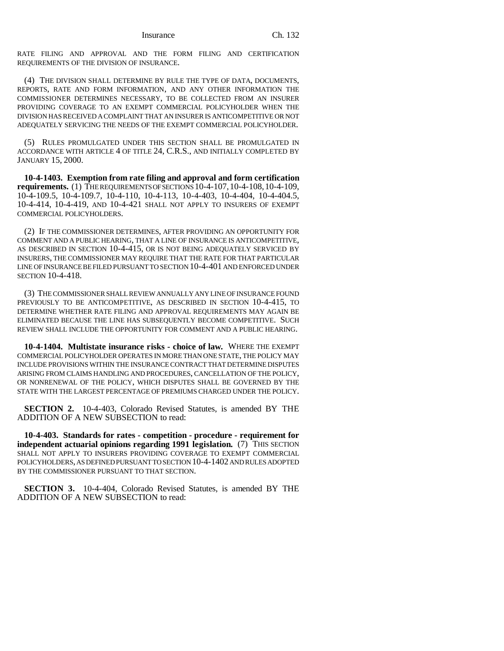RATE FILING AND APPROVAL AND THE FORM FILING AND CERTIFICATION REQUIREMENTS OF THE DIVISION OF INSURANCE.

(4) THE DIVISION SHALL DETERMINE BY RULE THE TYPE OF DATA, DOCUMENTS, REPORTS, RATE AND FORM INFORMATION, AND ANY OTHER INFORMATION THE COMMISSIONER DETERMINES NECESSARY, TO BE COLLECTED FROM AN INSURER PROVIDING COVERAGE TO AN EXEMPT COMMERCIAL POLICYHOLDER WHEN THE DIVISION HAS RECEIVED A COMPLAINT THAT AN INSURER IS ANTICOMPETITIVE OR NOT ADEQUATELY SERVICING THE NEEDS OF THE EXEMPT COMMERCIAL POLICYHOLDER.

(5) RULES PROMULGATED UNDER THIS SECTION SHALL BE PROMULGATED IN ACCORDANCE WITH ARTICLE 4 OF TITLE 24, C.R.S., AND INITIALLY COMPLETED BY JANUARY 15, 2000.

**10-4-1403. Exemption from rate filing and approval and form certification requirements.** (1) THE REQUIREMENTS OF SECTIONS 10-4-107,10-4-108,10-4-109, 10-4-109.5, 10-4-109.7, 10-4-110, 10-4-113, 10-4-403, 10-4-404, 10-4-404.5, 10-4-414, 10-4-419, AND 10-4-421 SHALL NOT APPLY TO INSURERS OF EXEMPT COMMERCIAL POLICYHOLDERS.

(2) IF THE COMMISSIONER DETERMINES, AFTER PROVIDING AN OPPORTUNITY FOR COMMENT AND A PUBLIC HEARING, THAT A LINE OF INSURANCE IS ANTICOMPETITIVE, AS DESCRIBED IN SECTION 10-4-415, OR IS NOT BEING ADEQUATELY SERVICED BY INSURERS, THE COMMISSIONER MAY REQUIRE THAT THE RATE FOR THAT PARTICULAR LINE OF INSURANCE BE FILED PURSUANT TO SECTION 10-4-401 AND ENFORCED UNDER SECTION 10-4-418.

(3) THE COMMISSIONER SHALL REVIEW ANNUALLY ANY LINE OF INSURANCE FOUND PREVIOUSLY TO BE ANTICOMPETITIVE, AS DESCRIBED IN SECTION 10-4-415, TO DETERMINE WHETHER RATE FILING AND APPROVAL REQUIREMENTS MAY AGAIN BE ELIMINATED BECAUSE THE LINE HAS SUBSEQUENTLY BECOME COMPETITIVE. SUCH REVIEW SHALL INCLUDE THE OPPORTUNITY FOR COMMENT AND A PUBLIC HEARING.

**10-4-1404. Multistate insurance risks - choice of law.** WHERE THE EXEMPT COMMERCIAL POLICYHOLDER OPERATES IN MORE THAN ONE STATE, THE POLICY MAY INCLUDE PROVISIONS WITHIN THE INSURANCE CONTRACT THAT DETERMINE DISPUTES ARISING FROM CLAIMS HANDLING AND PROCEDURES, CANCELLATION OF THE POLICY, OR NONRENEWAL OF THE POLICY, WHICH DISPUTES SHALL BE GOVERNED BY THE STATE WITH THE LARGEST PERCENTAGE OF PREMIUMS CHARGED UNDER THE POLICY.

**SECTION 2.** 10-4-403, Colorado Revised Statutes, is amended BY THE ADDITION OF A NEW SUBSECTION to read:

**10-4-403. Standards for rates - competition - procedure - requirement for independent actuarial opinions regarding 1991 legislation.** (7) THIS SECTION SHALL NOT APPLY TO INSURERS PROVIDING COVERAGE TO EXEMPT COMMERCIAL POLICYHOLDERS, AS DEFINED PURSUANT TO SECTION 10-4-1402 AND RULES ADOPTED BY THE COMMISSIONER PURSUANT TO THAT SECTION.

**SECTION 3.** 10-4-404, Colorado Revised Statutes, is amended BY THE ADDITION OF A NEW SUBSECTION to read: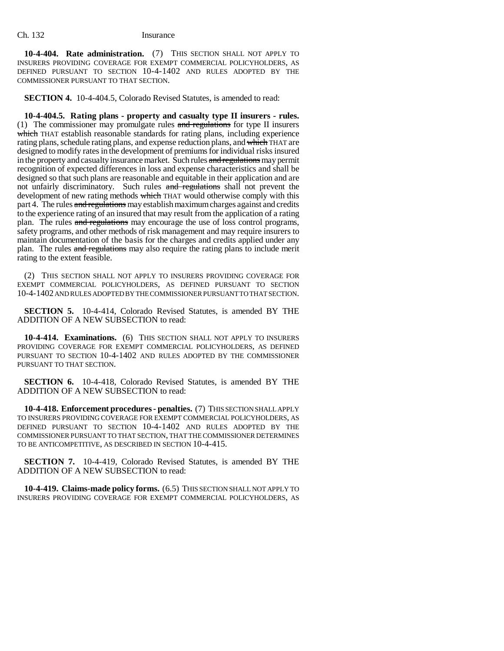**10-4-404. Rate administration.** (7) THIS SECTION SHALL NOT APPLY TO INSURERS PROVIDING COVERAGE FOR EXEMPT COMMERCIAL POLICYHOLDERS, AS DEFINED PURSUANT TO SECTION 10-4-1402 AND RULES ADOPTED BY THE COMMISSIONER PURSUANT TO THAT SECTION.

**SECTION 4.** 10-4-404.5, Colorado Revised Statutes, is amended to read:

**10-4-404.5. Rating plans - property and casualty type II insurers - rules.** (1) The commissioner may promulgate rules and regulations for type II insurers which THAT establish reasonable standards for rating plans, including experience rating plans, schedule rating plans, and expense reduction plans, and which THAT are designed to modify rates in the development of premiums for individual risks insured in the property and casualty insurance market. Such rules and regulations may permit recognition of expected differences in loss and expense characteristics and shall be designed so that such plans are reasonable and equitable in their application and are not unfairly discriminatory. Such rules and regulations shall not prevent the development of new rating methods which THAT would otherwise comply with this part 4. The rules and regulations may establish maximum charges against and credits to the experience rating of an insured that may result from the application of a rating plan. The rules and regulations may encourage the use of loss control programs, safety programs, and other methods of risk management and may require insurers to maintain documentation of the basis for the charges and credits applied under any plan. The rules and regulations may also require the rating plans to include merit rating to the extent feasible.

(2) THIS SECTION SHALL NOT APPLY TO INSURERS PROVIDING COVERAGE FOR EXEMPT COMMERCIAL POLICYHOLDERS, AS DEFINED PURSUANT TO SECTION 10-4-1402 AND RULES ADOPTED BY THE COMMISSIONER PURSUANT TO THAT SECTION.

**SECTION 5.** 10-4-414, Colorado Revised Statutes, is amended BY THE ADDITION OF A NEW SUBSECTION to read:

**10-4-414. Examinations.** (6) THIS SECTION SHALL NOT APPLY TO INSURERS PROVIDING COVERAGE FOR EXEMPT COMMERCIAL POLICYHOLDERS, AS DEFINED PURSUANT TO SECTION 10-4-1402 AND RULES ADOPTED BY THE COMMISSIONER PURSUANT TO THAT SECTION.

**SECTION 6.** 10-4-418, Colorado Revised Statutes, is amended BY THE ADDITION OF A NEW SUBSECTION to read:

**10-4-418. Enforcement procedures - penalties.** (7) THIS SECTION SHALL APPLY TO INSURERS PROVIDING COVERAGE FOR EXEMPT COMMERCIAL POLICYHOLDERS, AS DEFINED PURSUANT TO SECTION 10-4-1402 AND RULES ADOPTED BY THE COMMISSIONER PURSUANT TO THAT SECTION, THAT THE COMMISSIONER DETERMINES TO BE ANTICOMPETITIVE, AS DESCRIBED IN SECTION 10-4-415.

**SECTION 7.** 10-4-419, Colorado Revised Statutes, is amended BY THE ADDITION OF A NEW SUBSECTION to read:

**10-4-419. Claims-made policy forms.** (6.5) THIS SECTION SHALL NOT APPLY TO INSURERS PROVIDING COVERAGE FOR EXEMPT COMMERCIAL POLICYHOLDERS, AS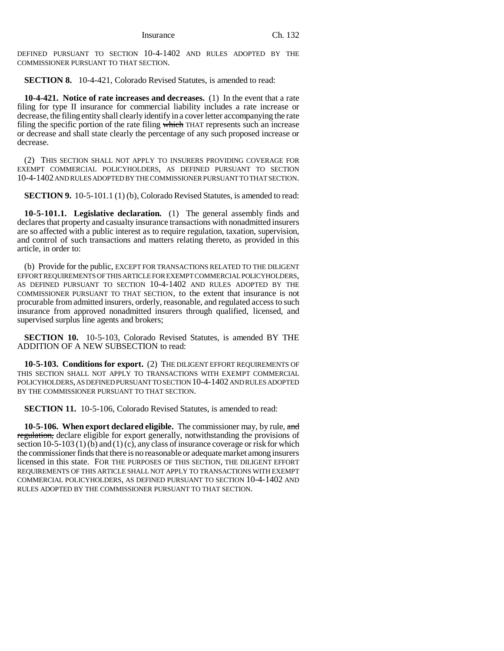Insurance Ch. 132

DEFINED PURSUANT TO SECTION 10-4-1402 AND RULES ADOPTED BY THE COMMISSIONER PURSUANT TO THAT SECTION.

**SECTION 8.** 10-4-421, Colorado Revised Statutes, is amended to read:

**10-4-421. Notice of rate increases and decreases.** (1) In the event that a rate filing for type II insurance for commercial liability includes a rate increase or decrease, the filing entity shall clearly identify in a cover letter accompanying the rate filing the specific portion of the rate filing which THAT represents such an increase or decrease and shall state clearly the percentage of any such proposed increase or decrease.

(2) THIS SECTION SHALL NOT APPLY TO INSURERS PROVIDING COVERAGE FOR EXEMPT COMMERCIAL POLICYHOLDERS, AS DEFINED PURSUANT TO SECTION 10-4-1402 AND RULES ADOPTED BY THE COMMISSIONER PURSUANT TO THAT SECTION.

**SECTION 9.** 10-5-101.1 (1) (b), Colorado Revised Statutes, is amended to read:

**10-5-101.1. Legislative declaration.** (1) The general assembly finds and declares that property and casualty insurance transactions with nonadmitted insurers are so affected with a public interest as to require regulation, taxation, supervision, and control of such transactions and matters relating thereto, as provided in this article, in order to:

(b) Provide for the public, EXCEPT FOR TRANSACTIONS RELATED TO THE DILIGENT EFFORT REQUIREMENTS OF THIS ARTICLE FOR EXEMPT COMMERCIAL POLICYHOLDERS, AS DEFINED PURSUANT TO SECTION 10-4-1402 AND RULES ADOPTED BY THE COMMISSIONER PURSUANT TO THAT SECTION, to the extent that insurance is not procurable from admitted insurers, orderly, reasonable, and regulated access to such insurance from approved nonadmitted insurers through qualified, licensed, and supervised surplus line agents and brokers;

**SECTION 10.** 10-5-103, Colorado Revised Statutes, is amended BY THE ADDITION OF A NEW SUBSECTION to read:

**10-5-103. Conditions for export.** (2) THE DILIGENT EFFORT REQUIREMENTS OF THIS SECTION SHALL NOT APPLY TO TRANSACTIONS WITH EXEMPT COMMERCIAL POLICYHOLDERS, AS DEFINED PURSUANT TO SECTION 10-4-1402 AND RULES ADOPTED BY THE COMMISSIONER PURSUANT TO THAT SECTION.

**SECTION 11.** 10-5-106, Colorado Revised Statutes, is amended to read:

**10-5-106. When export declared eligible.** The commissioner may, by rule, and regulation, declare eligible for export generally, notwithstanding the provisions of section 10-5-103 (1) (b) and (1) (c), any class of insurance coverage or risk for which the commissioner finds that there is no reasonable or adequate market among insurers licensed in this state. FOR THE PURPOSES OF THIS SECTION, THE DILIGENT EFFORT REQUIREMENTS OF THIS ARTICLE SHALL NOT APPLY TO TRANSACTIONS WITH EXEMPT COMMERCIAL POLICYHOLDERS, AS DEFINED PURSUANT TO SECTION 10-4-1402 AND RULES ADOPTED BY THE COMMISSIONER PURSUANT TO THAT SECTION.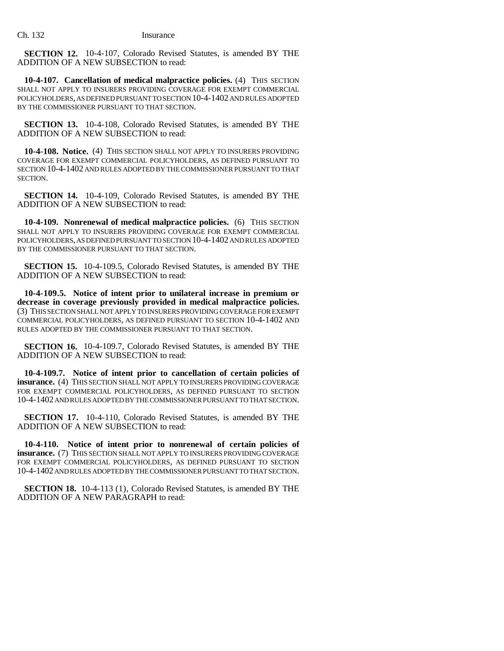**SECTION 12.** 10-4-107, Colorado Revised Statutes, is amended BY THE ADDITION OF A NEW SUBSECTION to read:

**10-4-107. Cancellation of medical malpractice policies.** (4) THIS SECTION SHALL NOT APPLY TO INSURERS PROVIDING COVERAGE FOR EXEMPT COMMERCIAL POLICYHOLDERS, AS DEFINED PURSUANT TO SECTION 10-4-1402 AND RULES ADOPTED BY THE COMMISSIONER PURSUANT TO THAT SECTION.

**SECTION 13.** 10-4-108, Colorado Revised Statutes, is amended BY THE ADDITION OF A NEW SUBSECTION to read:

**10-4-108. Notice.** (4) THIS SECTION SHALL NOT APPLY TO INSURERS PROVIDING COVERAGE FOR EXEMPT COMMERCIAL POLICYHOLDERS, AS DEFINED PURSUANT TO SECTION 10-4-1402 AND RULES ADOPTED BY THE COMMISSIONER PURSUANT TO THAT SECTION.

**SECTION 14.** 10-4-109, Colorado Revised Statutes, is amended BY THE ADDITION OF A NEW SUBSECTION to read:

**10-4-109. Nonrenewal of medical malpractice policies.** (6) THIS SECTION SHALL NOT APPLY TO INSURERS PROVIDING COVERAGE FOR EXEMPT COMMERCIAL POLICYHOLDERS, AS DEFINED PURSUANT TO SECTION 10-4-1402 AND RULES ADOPTED BY THE COMMISSIONER PURSUANT TO THAT SECTION.

**SECTION 15.** 10-4-109.5, Colorado Revised Statutes, is amended BY THE ADDITION OF A NEW SUBSECTION to read:

**10-4-109.5. Notice of intent prior to unilateral increase in premium or decrease in coverage previously provided in medical malpractice policies.** (3) THIS SECTION SHALL NOT APPLY TO INSURERS PROVIDING COVERAGE FOR EXEMPT COMMERCIAL POLICYHOLDERS, AS DEFINED PURSUANT TO SECTION 10-4-1402 AND RULES ADOPTED BY THE COMMISSIONER PURSUANT TO THAT SECTION.

**SECTION 16.** 10-4-109.7, Colorado Revised Statutes, is amended BY THE ADDITION OF A NEW SUBSECTION to read:

**10-4-109.7. Notice of intent prior to cancellation of certain policies of insurance.** (4) THIS SECTION SHALL NOT APPLY TO INSURERS PROVIDING COVERAGE FOR EXEMPT COMMERCIAL POLICYHOLDERS, AS DEFINED PURSUANT TO SECTION 10-4-1402 AND RULES ADOPTED BY THE COMMISSIONER PURSUANT TO THAT SECTION.

**SECTION 17.** 10-4-110, Colorado Revised Statutes, is amended BY THE ADDITION OF A NEW SUBSECTION to read:

**10-4-110. Notice of intent prior to nonrenewal of certain policies of insurance.** (7) THIS SECTION SHALL NOT APPLY TO INSURERS PROVIDING COVERAGE FOR EXEMPT COMMERCIAL POLICYHOLDERS, AS DEFINED PURSUANT TO SECTION 10-4-1402 AND RULES ADOPTED BY THE COMMISSIONER PURSUANT TO THAT SECTION.

**SECTION 18.** 10-4-113 (1), Colorado Revised Statutes, is amended BY THE ADDITION OF A NEW PARAGRAPH to read: